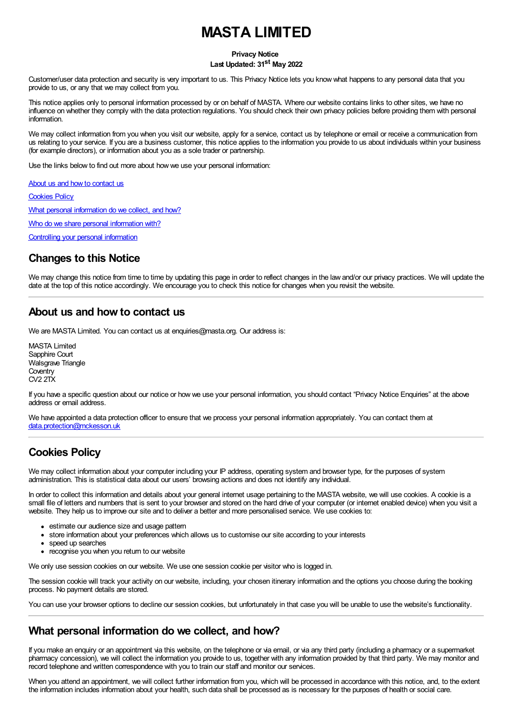# **MASTA LIMITED**

#### **Privacy Notice**

#### **Last Updated: 31 st May 2022**

Customer/user data protection and security is very important to us. This Privacy Notice lets you know what happens to any personal data that you provide to us, or any that we may collect from you.

This notice applies only to personal information processed by or on behalf of MASTA. Where our website contains links to other sites, we have no influence on whether they comply with the data protection regulations. You should check their own privacy policies before providing them with personal information.

We may collect information from you when you visit our website, apply for a service, contact us by telephone or email or receive a communication from us relating to your service. If you are a business customer, this notice applies to the information you provide to us about individuals within your business (for example directors), or information about you as a sole trader or partnership.

Use the links below to find out more about how we use your personal information:

About us and how to [contact](#about) us [Cookies](#cookies) Policy What personal [information](#personal) do we collect, and how? Who do we share personal [information](#who) with?

Controlling your personal [information](#control)

#### **Changes to this Notice**

We may change this notice from time to time by updating this page in order to reflect changes in the law and/or our privacy practices. We will update the date at the top of this notice accordingly. We encourage you to check this notice for changes when you revisit the website.

### **About us and how to contact us**

We are MASTA Limited. You can contact us at enquiries@masta.org. Our address is:

MASTA Limited Sapphire Court Walsgrave Triangle **Coventry** CV2 2TX

If you have a specific question about our notice or how we use your personal information, you should contact "Privacy Notice Enquiries" at the above address or email address.

We have appointed a data protection officer to ensure that we process your personal information appropriately. You can contact them at [data.protection@mckesson.uk](mailto:data.protection@mckesson.uk)

### **Cookies Policy**

We may collect information about your computer including your IP address, operating system and browser type, for the purposes of system administration. This is statistical data about our users' browsing actions and does not identify any individual.

In order to collect this information and details about your general internet usage pertaining to the MASTA website, we will use cookies. A cookie is a small file of letters and numbers that is sent to your browser and stored on the hard drive of your computer (or internet enabled device) when you visit a website. They help us to improve our site and to deliver a better and more personalised service. We use cookies to:

- estimate our audience size and usage pattern
- store information about your preferences which allows us to customise our site according to your interests
- speed up searches
- recognise you when you return to our website

We only use session cookies on our website. We use one session cookie per visitor who is logged in.

The session cookie will track your activity on our website, including, your chosen itinerary information and the options you choose during the booking process. No payment details are stored.

You can use your browser options to decline our session cookies, but unfortunately in that case you will be unable to use the website's functionality.

### **What personal information do we collect, and how?**

If you make an enquiry or an appointment via this website, on the telephone or via email, or via any third party (including a pharmacy or a supermarket pharmacy concession), we will collect the information you provide to us, together with any information provided by that third party. We may monitor and record telephone and written correspondence with you to train our staff and monitor our services.

When you attend an appointment, we will collect further information from you, which will be processed in accordance with this notice, and, to the extent the information includes information about your health, such data shall be processed as is necessary for the purposes of health or social care.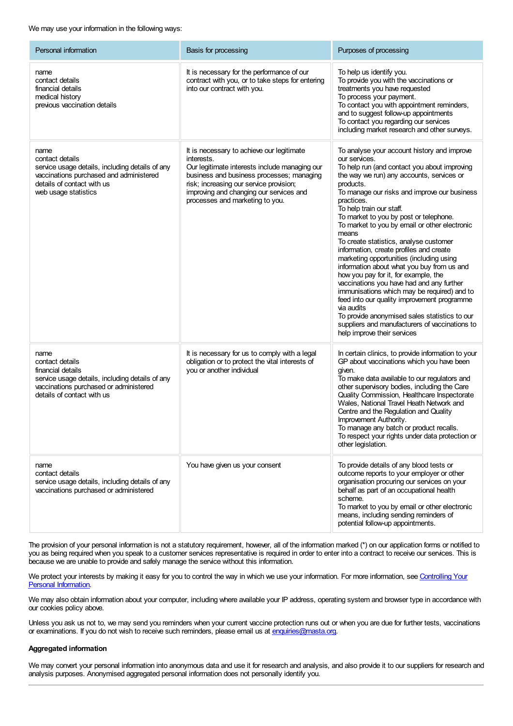#### We may use your information in the following ways:

| Personal information                                                                                                                                                        | Basis for processing                                                                                                                                                                                                                                                           | Purposes of processing                                                                                                                                                                                                                                                                                                                                                                                                                                                                                                                                                                                                                                                                                                                                                                                                                                                                 |
|-----------------------------------------------------------------------------------------------------------------------------------------------------------------------------|--------------------------------------------------------------------------------------------------------------------------------------------------------------------------------------------------------------------------------------------------------------------------------|----------------------------------------------------------------------------------------------------------------------------------------------------------------------------------------------------------------------------------------------------------------------------------------------------------------------------------------------------------------------------------------------------------------------------------------------------------------------------------------------------------------------------------------------------------------------------------------------------------------------------------------------------------------------------------------------------------------------------------------------------------------------------------------------------------------------------------------------------------------------------------------|
| name<br>contact details<br>financial details<br>medical history<br>previous vaccination details                                                                             | It is necessary for the performance of our<br>contract with you, or to take steps for entering<br>into our contract with you.                                                                                                                                                  | To help us identify you.<br>To provide you with the vaccinations or<br>treatments you have requested<br>To process your payment.<br>To contact you with appointment reminders,<br>and to suggest follow-up appointments<br>To contact you regarding our services<br>including market research and other surveys.                                                                                                                                                                                                                                                                                                                                                                                                                                                                                                                                                                       |
| name<br>contact details<br>service usage details, including details of any<br>vaccinations purchased and administered<br>details of contact with us<br>web usage statistics | It is necessary to achieve our legitimate<br>interests.<br>Our legitimate interests include managing our<br>business and business processes; managing<br>risk; increasing our service provision;<br>improving and changing our services and<br>processes and marketing to you. | To analyse your account history and improve<br>our services.<br>To help run (and contact you about improving<br>the way we run) any accounts, services or<br>products.<br>To manage our risks and improve our business<br>practices.<br>To help train our staff.<br>To market to you by post or telephone.<br>To market to you by email or other electronic<br>means<br>To create statistics, analyse customer<br>information, create profiles and create<br>marketing opportunities (including using<br>information about what you buy from us and<br>how you pay for it, for example, the<br>vaccinations you have had and any further<br>immunisations which may be required) and to<br>feed into our quality improvement programme<br>via audits<br>To provide anonymised sales statistics to our<br>suppliers and manufacturers of vaccinations to<br>help improve their services |
| name<br>contact details<br>financial details<br>service usage details, including details of any<br>vaccinations purchased or administered<br>details of contact with us     | It is necessary for us to comply with a legal<br>obligation or to protect the vital interests of<br>you or another individual                                                                                                                                                  | In certain clinics, to provide information to your<br>GP about vaccinations which you have been<br>given.<br>To make data available to our regulators and<br>other supervisory bodies, including the Care<br>Quality Commission, Healthcare Inspectorate<br>Wales, National Travel Heath Network and<br>Centre and the Regulation and Quality<br>Improvement Authority.<br>To manage any batch or product recalls.<br>To respect your rights under data protection or<br>other legislation.                                                                                                                                                                                                                                                                                                                                                                                            |
| name<br>contact details<br>service usage details, including details of any<br>vaccinations purchased or administered                                                        | You have given us your consent                                                                                                                                                                                                                                                 | To provide details of any blood tests or<br>outcome reports to your employer or other<br>organisation procuring our services on your<br>behalf as part of an occupational health<br>scheme.<br>To market to you by email or other electronic<br>means, including sending reminders of<br>potential follow-up appointments.                                                                                                                                                                                                                                                                                                                                                                                                                                                                                                                                                             |

The provision of your personal information is not a statutory requirement, however, all of the information marked (\*) on our application forms or notified to you as being required when you speak to a customer services representative is required in order to enter into a contract to receive our services. This is because we are unable to provide and safely manage the service without this information.

We protect your interests by making it easy for you to control the way in which we use your [information.](#control) For more information, see Controlling Your **Personal Information.** 

We may also obtain information about your computer, including where available your IP address, operating system and browser type in accordance with our cookies policy above.

Unless you ask us not to, we may send you reminders when your current vaccine protection runs out or when you are due for further tests, vaccinations or examinations. If you do not wish to receive such reminders, please email us at [enquiries@masta.org](mailto:enquiries@masta.org).

#### **Aggregated information**

We may convert your personal information into anonymous data and use it for research and analysis, and also provide it to our suppliers for research and analysis purposes. Anonymised aggregated personal information does not personally identify you.